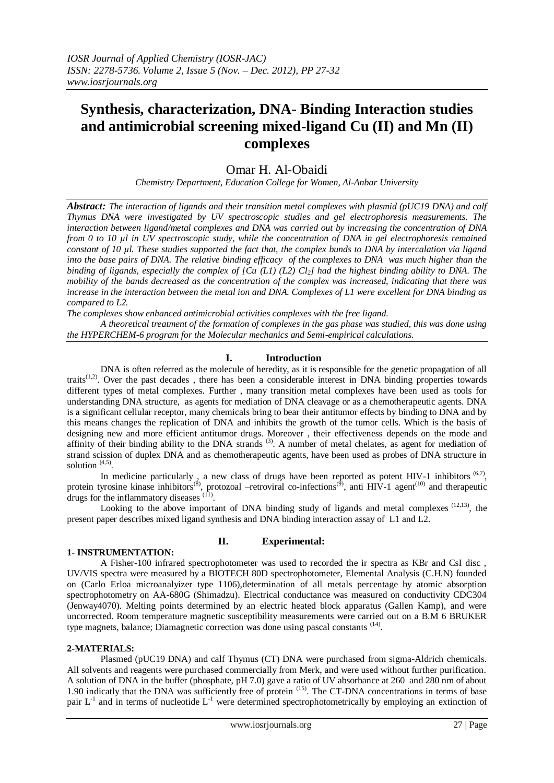# **Synthesis, characterization, DNA- Binding Interaction studies and antimicrobial screening mixed-ligand Cu (II) and Mn (II) complexes**

# Omar H. Al-Obaidi

*Chemistry Department, Education College for Women, Al-Anbar University*

*Abstract: The interaction of ligands and their transition metal complexes with plasmid (pUC19 DNA) and calf Thymus DNA were investigated by UV spectroscopic studies and gel electrophoresis measurements. The interaction between ligand/metal complexes and DNA was carried out by increasing the concentration of DNA from 0 to 10 µl in UV spectroscopic study, while the concentration of DNA in gel electrophoresis remained constant of 10 µl. These studies supported the fact that, the complex bunds to DNA by intercalation via ligand into the base pairs of DNA. The relative binding efficacy of the complexes to DNA was much higher than the binding of ligands, especially the complex of [Cu (L1) (L2) Cl2] had the highest binding ability to DNA. The mobility of the bands decreased as the concentration of the complex was increased, indicating that there was increase in the interaction between the metal ion and DNA. Complexes of L1 were excellent for DNA binding as compared to L2.*

*The complexes show enhanced antimicrobial activities complexes with the free ligand.*

*A theoretical treatment of the formation of complexes in the gas phase was studied, this was done using the HYPERCHEM-6 program for the Molecular mechanics and Semi-empirical calculations.* 

# **I. Introduction**

DNA is often referred as the molecule of heredity, as it is responsible for the genetic propagation of all traits<sup> $(1,2)$ </sup>. Over the past decades, there has been a considerable interest in DNA binding properties towards different types of metal complexes. Further , many transition metal complexes have been used as tools for understanding DNA structure, as agents for mediation of DNA cleavage or as a chemotherapeutic agents. DNA is a significant cellular receptor, many chemicals bring to bear their antitumor effects by binding to DNA and by this means changes the replication of DNA and inhibits the growth of the tumor cells. Which is the basis of designing new and more efficient antitumor drugs. Moreover , their effectiveness depends on the mode and affinity of their binding ability to the DNA strands  $(3)$ . A number of metal chelates, as agent for mediation of strand scission of duplex DNA and as chemotherapeutic agents, have been used as probes of DNA structure in solution  $(4,5)$ .

In medicine particularly, a new class of drugs have been reported as potent HIV-1 inhibitors  $(6,7)$ , protein tyrosine kinase inhibitors<sup>(8)</sup>, protozoal –retroviral co-infections<sup>(9)</sup>, anti HIV-1 agent<sup>(10)</sup> and therapeutic drugs for the inflammatory diseases  $(1)$ .

Looking to the above important of DNA binding study of ligands and metal complexes  $(12,13)$ , the present paper describes mixed ligand synthesis and DNA binding interaction assay of L1 and L2.

# **1- INSTRUMENTATION:**

# **II. Experimental:**

 A Fisher-100 infrared spectrophotometer was used to recorded the ir spectra as KBr and CsI disc , UV/VIS spectra were measured by a BIOTECH 80D spectrophotometer, Elemental Analysis (C.H.N) founded on (Carlo Erloa microanalyizer type 1106),determination of all metals percentage by atomic absorption spectrophotometry on AA-680G (Shimadzu). Electrical conductance was measured on conductivity CDC304 (Jenway4070). Melting points determined by an electric heated block apparatus (Gallen Kamp), and were uncorrected. Room temperature magnetic susceptibility measurements were carried out on a B.M 6 BRUKER type magnets, balance; Diamagnetic correction was done using pascal constants <sup>(14)</sup>.

# **2-MATERIALS:**

 Plasmed (pUC19 DNA) and calf Thymus (CT) DNA were purchased from sigma-Aldrich chemicals. All solvents and reagents were purchased commercially from Merk, and were used without further purification. A solution of DNA in the buffer (phosphate, pH 7.0) gave a ratio of UV absorbance at 260 and 280 nm of about 1.90 indicatly that the DNA was sufficiently free of protein <sup>(15)</sup>. The CT-DNA concentrations in terms of base pair  $L^{-1}$  and in terms of nucleotide  $L^{-1}$  were determined spectrophotometrically by employing an extinction of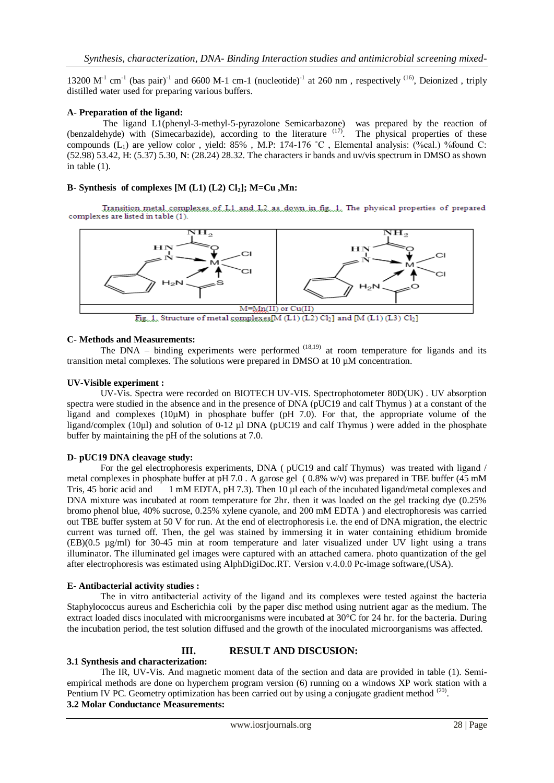13200  $M^{-1}$  cm<sup>-1</sup> (bas pair)<sup>-1</sup> and 6600 M-1 cm-1 (nucleotide)<sup>-1</sup> at 260 nm, respectively <sup>(16)</sup>, Deionized, triply distilled water used for preparing various buffers.

## **A- Preparation of the ligand:**

 The ligand L1(phenyl-3-methyl-5-pyrazolone Semicarbazone) was prepared by the reaction of (benzaldehyde) with (Simecarbazide), according to the literature <sup>(17)</sup>. The physical properties of these compounds (L1) are yellow color , yield: 85% , M.P: 174-176 ˚C , Elemental analysis: (%cal.) %found C: (52.98) 53.42, H: (5.37) 5.30, N: (28.24) 28.32. The characters ir bands and uv/vis spectrum in DMSO as shown in table (1).

# **B- Synthesis of complexes [M (L1) (L2) Cl2]; M=Cu ,Mn:**

Transition.metal.complexes.of.L1.and.L2.as.down.in.fig...1. The physical properties of prepared complexes are listed in table (1).



#### **C- Methods and Measurements:**

The DNA – binding experiments were performed  $(18,19)$  at room temperature for ligands and its transition metal complexes. The solutions were prepared in DMSO at 10 µM concentration.

## **UV-Visible experiment :**

UV-Vis. Spectra were recorded on BIOTECH UV-VIS. Spectrophotometer 80D(UK) . UV absorption spectra were studied in the absence and in the presence of DNA (pUC19 and calf Thymus) at a constant of the ligand and complexes (10µM) in phosphate buffer (pH 7.0). For that, the appropriate volume of the ligand/complex (10µl) and solution of 0-12 µl DNA (pUC19 and calf Thymus ) were added in the phosphate buffer by maintaining the pH of the solutions at 7.0.

## **D- pUC19 DNA cleavage study:**

For the gel electrophoresis experiments, DNA ( pUC19 and calf Thymus) was treated with ligand / metal complexes in phosphate buffer at pH 7.0 . A garose gel ( 0.8% w/v) was prepared in TBE buffer (45 mM Tris, 45 boric acid and 1 mM EDTA, pH 7.3). Then 10 µl each of the incubated ligand/metal complexes and DNA mixture was incubated at room temperature for 2hr. then it was loaded on the gel tracking dye (0.25% bromo phenol blue, 40% sucrose, 0.25% xylene cyanole, and 200 mM EDTA ) and electrophoresis was carried out TBE buffer system at 50 V for run. At the end of electrophoresis i.e. the end of DNA migration, the electric current was turned off. Then, the gel was stained by immersing it in water containing ethidium bromide (EB)(0.5 µg/ml) for 30-45 min at room temperature and later visualized under UV light using a trans illuminator. The illuminated gel images were captured with an attached camera. photo quantization of the gel after electrophoresis was estimated using AlphDigiDoc.RT. Version v.4.0.0 Pc-image software,(USA).

#### **E- Antibacterial activity studies :**

The in vitro antibacterial activity of the ligand and its complexes were tested against the bacteria Staphylococcus aureus and Escherichia coli by the paper disc method using nutrient agar as the medium. The extract loaded discs inoculated with microorganisms were incubated at 30°C for 24 hr. for the bacteria. During the incubation period, the test solution diffused and the growth of the inoculated microorganisms was affected.

# **III. RESULT AND DISCUSION:**

#### **3.1 Synthesis and characterization:**

The IR, UV-Vis. And magnetic moment data of the section and data are provided in table (1). Semiempirical methods are done on hyperchem program version (6) running on a windows XP work station with a Pentium IV PC. Geometry optimization has been carried out by using a conjugate gradient method (20). **3.2 Molar Conductance Measurements:**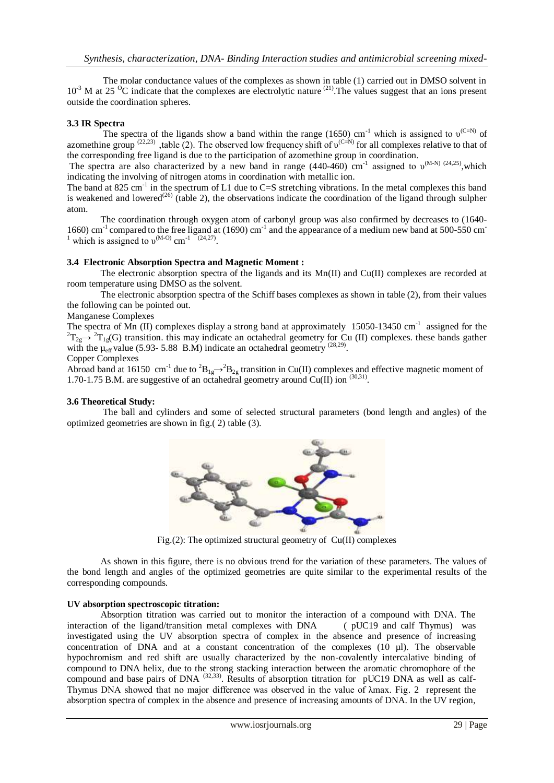The molar conductance values of the complexes as shown in table (1) carried out in DMSO solvent in  $10^{-3}$  M at 25  $^{0}$ C indicate that the complexes are electrolytic nature  $^{(21)}$ . The values suggest that an ions present outside the coordination spheres.

# **3.3 IR Spectra**

The spectra of the ligands show a band within the range (1650) cm<sup>-1</sup> which is assigned to  $v^{(C=N)}$  of azomethine group  $(22,23)$ , table (2). The observed low frequency shift of  $v^{(C=N)}$  for all complexes relative to that of the corresponding free ligand is due to the participation of azomethine group in coordination.

The spectra are also characterized by a new band in range  $(440-460)$  cm<sup>-1</sup> assigned to  $v^{(M-N)/(24,25)}$ , which indicating the involving of nitrogen atoms in coordination with metallic ion.

The band at 825 cm<sup>-1</sup> in the spectrum of L1 due to C=S stretching vibrations. In the metal complexes this band is weakened and lowered<sup>(26)</sup> (table 2), the observations indicate the coordination of the ligand through sulpher atom.

The coordination through oxygen atom of carbonyl group was also confirmed by decreases to (1640- 1660) cm<sup>-1</sup> compared to the free ligand at (1690) cm<sup>-1</sup> and the appearance of a medium new band at 500-550 cm <sup>1</sup> which is assigned to  $v^{(M-O)}$  cm<sup>-1</sup> <sup>(24,27)</sup>.

## **3.4 Electronic Absorption Spectra and Magnetic Moment :**

 The electronic absorption spectra of the ligands and its Mn(II) and Cu(II) complexes are recorded at room temperature using DMSO as the solvent.

 The electronic absorption spectra of the Schiff bases complexes as shown in table (2), from their values the following can be pointed out.

# Manganese Complexes

The spectra of Mn (II) complexes display a strong band at approximately  $15050-13450$  cm<sup>-1</sup> assigned for the  ${}^{2}T_{2g} \rightarrow {}^{2}T_{1g}(G)$  transition. this may indicate an octahedral geometry for Cu (II) complexes. these bands gather with the  $\mu_{\text{eff}}$  value (5.93- 5.88 B.M) indicate an octahedral geometry <sup>(28,29)</sup>.

#### Copper Complexes

Abroad band at 16150 cm<sup>-1</sup> due to  ${}^{2}B_{1g} \rightarrow {}^{2}B_{2g}$  transition in Cu(II) complexes and effective magnetic moment of 1.70-1.75 B.M. are suggestive of an octahedral geometry around Cu(II) ion  $(30,31)$ .

## **3.6 Theoretical Study:**

 The ball and cylinders and some of selected structural parameters (bond length and angles) of the optimized geometries are shown in fig.( 2) table (3).



Fig.(2): The optimized structural geometry of Cu(II) complexes

 As shown in this figure, there is no obvious trend for the variation of these parameters. The values of the bond length and angles of the optimized geometries are quite similar to the experimental results of the corresponding compounds.

# **UV absorption spectroscopic titration:**

Absorption titration was carried out to monitor the interaction of a compound with DNA. The interaction of the ligand/transition metal complexes with DNA ( pUC19 and calf Thymus) was investigated using the UV absorption spectra of complex in the absence and presence of increasing concentration of DNA and at a constant concentration of the complexes  $(10 \text{ µ})$ . The observable hypochromism and red shift are usually characterized by the non-covalently intercalative binding of compound to DNA helix, due to the strong stacking interaction between the aromatic chromophore of the compound and base pairs of DNA  $^{(32,33)}$ . Results of absorption titration for pUC19 DNA as well as calf-Thymus DNA showed that no major difference was observed in the value of λmax. Fig. 2 represent the absorption spectra of complex in the absence and presence of increasing amounts of DNA. In the UV region,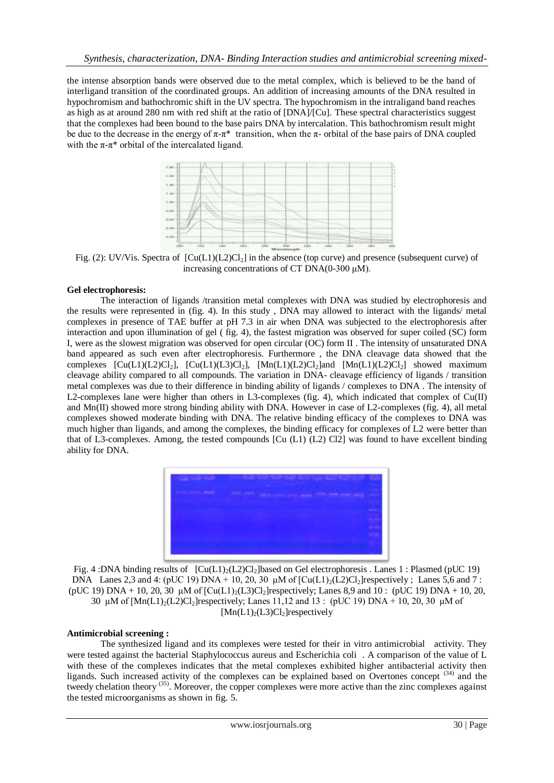the intense absorption bands were observed due to the metal complex, which is believed to be the band of interligand transition of the coordinated groups. An addition of increasing amounts of the DNA resulted in hypochromism and bathochromic shift in the UV spectra. The hypochromism in the intraligand band reaches as high as at around 280 nm with red shift at the ratio of [DNA]/[Cu]. These spectral characteristics suggest that the complexes had been bound to the base pairs DNA by intercalation. This bathochromism result might be due to the decrease in the energy of  $\pi$ -π\* transition, when the π- orbital of the base pairs of DNA coupled with the  $\pi$ - $\pi$ <sup>\*</sup> orbital of the intercalated ligand.



Fig. (2): UV/Vis. Spectra of  $\lbrack Cu(L)(L2)Cl<sub>2</sub>\rbrack$  in the absence (top curve) and presence (subsequent curve) of increasing concentrations of CT DNA(0-300  $\mu$ M).

## **Gel electrophoresis:**

The interaction of ligands /transition metal complexes with DNA was studied by electrophoresis and the results were represented in (fig. 4). In this study , DNA may allowed to interact with the ligands/ metal complexes in presence of TAE buffer at pH 7.3 in air when DNA was subjected to the electrophoresis after interaction and upon illumination of gel ( fig. 4), the fastest migration was observed for super coiled (SC) form I, were as the slowest migration was observed for open circular (OC) form II . The intensity of unsaturated DNA band appeared as such even after electrophoresis. Furthermore , the DNA cleavage data showed that the complexes  $[Cu(L1)(L2)Cl<sub>2</sub>], [Cu(L1)(L3)Cl<sub>2</sub>], [Mn(L1)(L2)Cl<sub>2</sub>]$  and  $[Mn(L1)(L2)Cl<sub>2</sub>]$  showed maximum cleavage ability compared to all compounds. The variation in DNA- cleavage efficiency of ligands / transition metal complexes was due to their difference in binding ability of ligands / complexes to DNA . The intensity of L2-complexes lane were higher than others in L3-complexes (fig. 4), which indicated that complex of Cu(II) and Mn(II) showed more strong binding ability with DNA. However in case of L2-complexes (fig. 4), all metal complexes showed moderate binding with DNA. The relative binding efficacy of the complexes to DNA was much higher than ligands, and among the complexes, the binding efficacy for complexes of L2 were better than that of L3-complexes. Among, the tested compounds [Cu (L1) (L2) Cl2] was found to have excellent binding ability for DNA.



Fig. 4 :DNA binding results of  $\left[ Cu(L1)_2(L2)Cl_2 \right]$  based on Gel electrophoresis . Lanes 1 : Plasmed (pUC 19) DNA Lanes 2,3 and 4: (pUC 19) DNA + 10, 20, 30  $\mu$ M of  $\lbrack \text{Cu(L1)}_2 \text{(L2)Cl}_2 \rbrack$ respectively; Lanes 5,6 and 7: (pUC 19) DNA + 10, 20, 30  $\mu$ M of  $\left[ Cu(L1)_{2}(L3)Cl_{2} \right]$  respectively; Lanes 8,9 and 10 : (pUC 19) DNA + 10, 20, 30 μM of  $[Mn(L)]_2(L2)Cl_2$  respectively; Lanes 11,12 and 13 : (pUC 19) DNA + 10, 20, 30 μM of  $[Mn(L1)<sub>2</sub>(L3)Cl<sub>2</sub>]$ respectively

#### **Antimicrobial screening :**

The synthesized ligand and its complexes were tested for their in vitro antimicrobial activity. They were tested against the bacterial Staphylococcus aureus and Escherichia coli . A comparison of the value of L with these of the complexes indicates that the metal complexes exhibited higher antibacterial activity then ligands. Such increased activity of the complexes can be explained based on Overtones concept<sup>(34)</sup> and the tweedy chelation theory <sup>(35)</sup>. Moreover, the copper complexes were more active than the zinc complexes against the tested microorganisms as shown in fig. 5.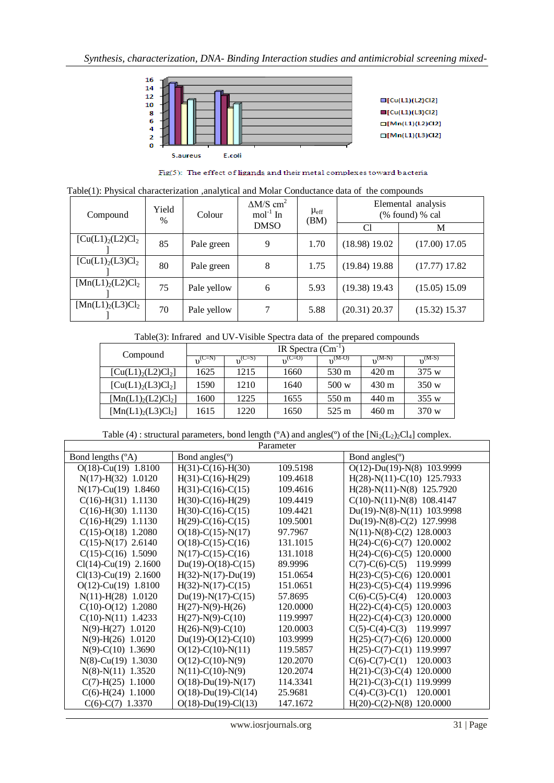

Fig(5): The effect of ligands and their metal complexes toward bacteria

Table(1): Physical characterization ,analytical and Molar Conductance data of the compounds

| Compound                   | Yield<br>% | Colour      | $\Delta M/S$ cm <sup>2</sup><br>$mol-1$ In | $\mu_{\rm eff}$<br>(BM) | Elemental analysis<br>(% found) % cal |                 |
|----------------------------|------------|-------------|--------------------------------------------|-------------------------|---------------------------------------|-----------------|
|                            |            |             | <b>DMSO</b>                                |                         | Cl                                    | М               |
| $[Cu(L1)2(L2)Cl2]$         | 85         | Pale green  | 9                                          | 1.70                    | $(18.98)$ 19.02                       | (17.00) 17.05   |
| $[Cu(L1)2(L3)Cl2]$         | 80         | Pale green  | 8                                          | 1.75                    | $(19.84)$ 19.88                       | $(17.77)$ 17.82 |
| $[{\rm Mn}(L1)_2(L2)Cl_2]$ | 75         | Pale yellow | 6                                          | 5.93                    | $(19.38)$ 19.43                       | (15.05) 15.09   |
| $[{\rm Mn}(L1)_2(L3)Cl_2]$ | 70         | Pale yellow |                                            | 5.88                    | $(20.31)$ 20.37                       | (15.32) 15.37   |

Table(3): Infrared and UV-Visible Spectra data of the prepared compounds

| Compound                   | IR Spectra $(Cm^{-1})$ |                    |             |             |                 |             |
|----------------------------|------------------------|--------------------|-------------|-------------|-----------------|-------------|
|                            | $n^{\text{(C=N)}}$     | $n^{\text{(C=S)}}$ | $n^{(C=O)}$ | $n^{(M-O)}$ | $n^{(M-N)}$     | $n^{(M-S)}$ |
| $[Cu(L1)2(L2)Cl2]$         | 1625                   | 1215               | 1660        | 530 m       | $420 \text{ m}$ | 375 w       |
| $[Cu(L1)2(L3)Cl2]$         | 1590                   | 1210               | 1640        | 500 w       | $430 \text{ m}$ | 350 w       |
| $[{\rm Mn}(L1)_2(L2)Cl_2]$ | 1600                   | 1225               | 1655        | 550 m       | 440 m           | 355 w       |
| $[{\rm Mn}(L1)_2(L3)Cl_2]$ | 1615                   | 1220               | 1650        | 525 m       | $460 \text{ m}$ | 370 w       |

Table (4) : structural parameters, bond length ( $\textdegree$ A) and angles( $\textdegree$ ) of the [Ni<sub>2</sub>(L<sub>2</sub>)<sub>2</sub>Cl<sub>4</sub>] complex.

| Parameter                 |                         |          |                                  |  |  |
|---------------------------|-------------------------|----------|----------------------------------|--|--|
| Bond lengths (°A)         | Bond angles(°)          |          | Bond angles <sup>(°)</sup>       |  |  |
| $O(18)$ -Cu(19) 1.8100    | $H(31)-C(16)-H(30)$     | 109.5198 | $O(12)$ -Du(19)-N(8)<br>103.9999 |  |  |
| $N(17) - H(32)$ 1.0120    | $H(31)-C(16)-H(29)$     | 109.4618 | $H(28)-N(11)-C(10)$ 125.7933     |  |  |
| $N(17)$ -Cu(19) 1.8460    | $H(31)-C(16)-C(15)$     | 109.4616 | $H(28)-N(11)-N(8)$ 125.7920      |  |  |
| $C(16)$ -H(31) 1.1130     | $H(30)-C(16)-H(29)$     | 109.4419 | $C(10)$ -N(11)-N(8) 108.4147     |  |  |
| $C(16)-H(30)$ 1.1130      | $H(30)-C(16)-C(15)$     | 109.4421 | Du(19)-N(8)-N(11) 103.9998       |  |  |
| $C(16)-H(29)$ 1.1130      | $H(29)$ -C(16)-C(15)    | 109.5001 | $Du(19)-N(8)-C(2)$ 127.9998      |  |  |
| $C(15)-O(18)$ 1.2080      | $O(18) - C(15) - N(17)$ | 97.7967  | $N(11)-N(8)-C(2)$ 128.0003       |  |  |
| $C(15)-N(17)$ 2.6140      | $O(18) - C(15) - C(16)$ | 131.1015 | $H(24)-C(6)-C(7)$ 120.0002       |  |  |
| $C(15)-C(16)$ 1.5090      | $N(17)-C(15)-C(16)$     | 131.1018 | $H(24)-C(6)-C(5)$ 120.0000       |  |  |
| $Cl(14)$ -Cu(19) 2.1600   | $Du(19)-O(18)-C(15)$    | 89.9996  | $C(7)$ -C(6)-C(5)<br>119.9999    |  |  |
| $Cl(13)-Cu(19)$ 2.1600    | $H(32)-N(17)-Du(19)$    | 151.0654 | $H(23)-C(5)-C(6)$ 120.0001       |  |  |
| $O(12)$ -Cu $(19)$ 1.8100 | $H(32)-N(17)-C(15)$     | 151.0651 | $H(23)-C(5)-C(4)$<br>119.9996    |  |  |
| $N(11) - H(28)$ 1.0120    | $Du(19)-N(17)-C(15)$    | 57.8695  | $C(6)-C(5)-C(4)$<br>120.0003     |  |  |
| $C(10)-O(12)$ 1.2080      | $H(27)-N(9)-H(26)$      | 120.0000 | $H(22)-C(4)-C(5)$<br>120.0003    |  |  |
| $C(10)-N(11)$ 1.4233      | $H(27)-N(9)-C(10)$      | 119.9997 | $H(22)-C(4)-C(3)$<br>120.0000    |  |  |
| $N(9)$ -H(27) 1.0120      | $H(26)-N(9)-C(10)$      | 120.0003 | $C(5)-C(4)-C(3)$<br>119.9997     |  |  |
| $N(9)$ -H(26) 1.0120      | $Du(19)-O(12)-C(10)$    | 103.9999 | 120.0000<br>$H(25)-C(7)-C(6)$    |  |  |
| $N(9) - C(10)$ 1.3690     | $O(12) - C(10) - N(11)$ | 119.5857 | 119.9997<br>$H(25)-C(7)-C(1)$    |  |  |
| $N(8)$ -Cu(19) 1.3030     | $O(12) - C(10) - N(9)$  | 120.2070 | 120.0003<br>$C(6)-C(7)-C(1)$     |  |  |
| $N(8) - N(11)$ 1.3520     | $N(11)-C(10)-N(9)$      | 120.2074 | 120,0000<br>$H(21)-C(3)-C(4)$    |  |  |
| $C(7)$ -H $(25)$ 1.1000   | $O(18)$ -Du(19)-N(17)   | 114.3341 | 119.9999<br>$H(21)-C(3)-C(1)$    |  |  |
| $C(6)$ -H(24) 1.1000      | $O(18)$ -Du(19)-Cl(14)  | 25.9681  | $C(4)-C(3)-C(1)$<br>120.0001     |  |  |
| $C(6)-C(7)$ 1.3370        | $O(18)$ -Du(19)-Cl(13)  | 147.1672 | 120.0000<br>$H(20)-C(2)-N(8)$    |  |  |

www.iosrjournals.org 31 | Page